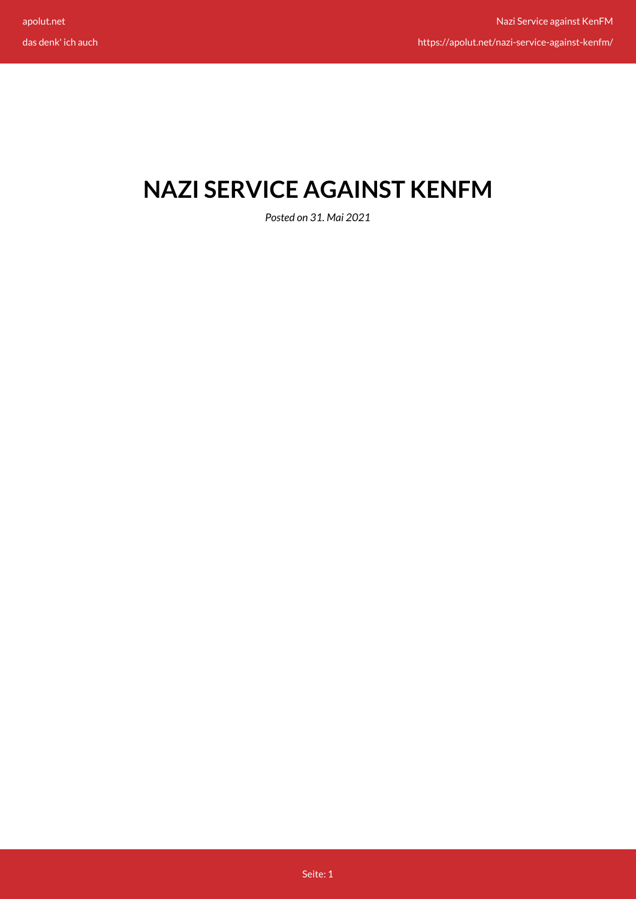# **NAZI SERVICE AGAINST KENFM**

*Posted on 31. Mai 2021*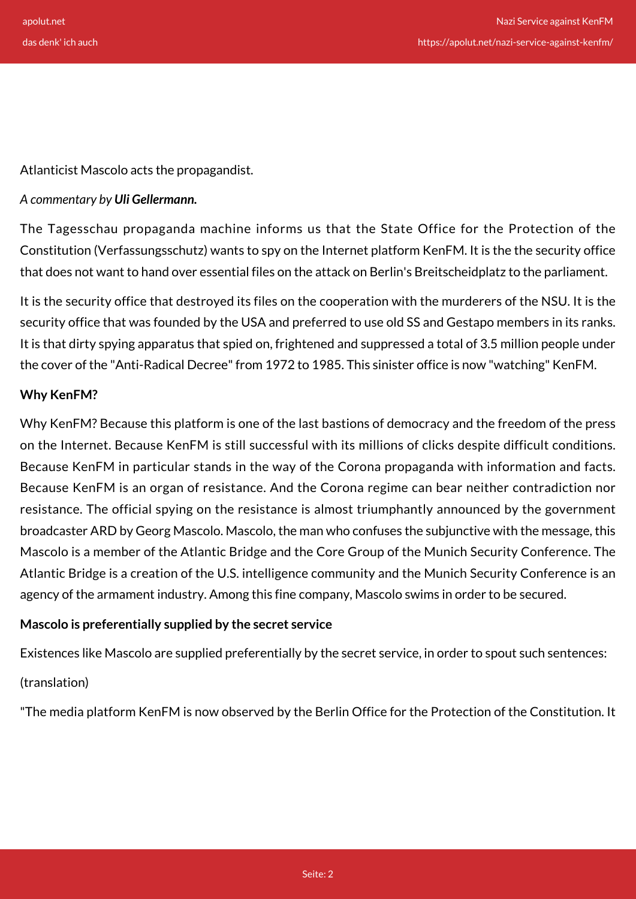Atlanticist Mascolo acts the propagandist.

### *A commentary by Uli Gellermann.*

The Tagesschau propaganda machine informs us that the State Office for the Protection of the Constitution (Verfassungsschutz) wants to spy on the Internet platform KenFM. It is the the security office that does not want to hand over essential files on the attack on Berlin's Breitscheidplatz to the parliament.

It is the security office that destroyed its files on the cooperation with the murderers of the NSU. It is the security office that was founded by the USA and preferred to use old SS and Gestapo members in its ranks. It is that dirty spying apparatus that spied on, frightened and suppressed a total of 3.5 million people under the cover of the "Anti-Radical Decree" from 1972 to 1985. This sinister office is now "watching" KenFM.

## **Why KenFM?**

Why KenFM? Because this platform is one of the last bastions of democracy and the freedom of the press on the Internet. Because KenFM is still successful with its millions of clicks despite difficult conditions. Because KenFM in particular stands in the way of the Corona propaganda with information and facts. Because KenFM is an organ of resistance. And the Corona regime can bear neither contradiction nor resistance. The official spying on the resistance is almost triumphantly announced by the government broadcaster ARD by Georg Mascolo. Mascolo, the man who confuses the subjunctive with the message, this Mascolo is a member of the Atlantic Bridge and the Core Group of the Munich Security Conference. The Atlantic Bridge is a creation of the U.S. intelligence community and the Munich Security Conference is an agency of the armament industry. Among this fine company, Mascolo swims in order to be secured.

# **Mascolo is preferentially supplied by the secret service**

Existences like Mascolo are supplied preferentially by the secret service, in order to spout such sentences:

# (translation)

"The media platform KenFM is now observed by the Berlin Office for the Protection of the Constitution. It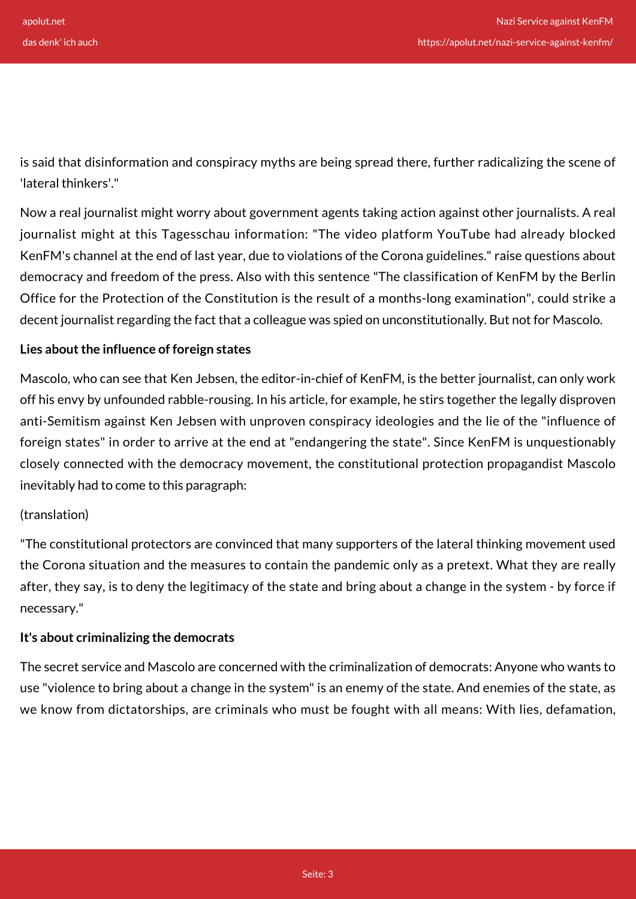is said that disinformation and conspiracy myths are being spread there, further radicalizing the scene of 'lateral thinkers'."

Now a real journalist might worry about government agents taking action against other journalists. A real journalist might at this Tagesschau information: "The video platform YouTube had already blocked KenFM's channel at the end of last year, due to violations of the Corona guidelines." raise questions about democracy and freedom of the press. Also with this sentence "The classification of KenFM by the Berlin Office for the Protection of the Constitution is the result of a months-long examination", could strike a decent journalist regarding the fact that a colleague was spied on unconstitutionally. But not for Mascolo.

## **Lies about the influence of foreign states**

Mascolo, who can see that Ken Jebsen, the editor-in-chief of KenFM, is the better journalist, can only work off his envy by unfounded rabble-rousing. In his article, for example, he stirs together the legally disproven anti-Semitism against Ken Jebsen with unproven conspiracy ideologies and the lie of the "influence of foreign states" in order to arrive at the end at "endangering the state". Since KenFM is unquestionably closely connected with the democracy movement, the constitutional protection propagandist Mascolo inevitably had to come to this paragraph:

#### (translation)

"The constitutional protectors are convinced that many supporters of the lateral thinking movement used the Corona situation and the measures to contain the pandemic only as a pretext. What they are really after, they say, is to deny the legitimacy of the state and bring about a change in the system - by force if necessary."

#### **It's about criminalizing the democrats**

The secret service and Mascolo are concerned with the criminalization of democrats: Anyone who wants to use "violence to bring about a change in the system" is an enemy of the state. And enemies of the state, as we know from dictatorships, are criminals who must be fought with all means: With lies, defamation,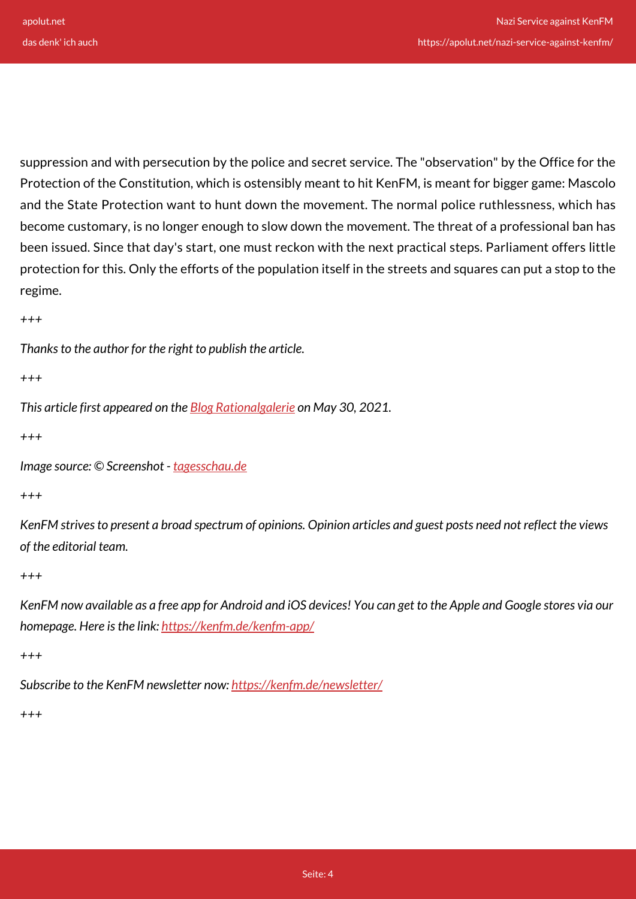suppression and with persecution by the police and secret service. The "observation" by the Office for the Protection of the Constitution, which is ostensibly meant to hit KenFM, is meant for bigger game: Mascolo and the State Protection want to hunt down the movement. The normal police ruthlessness, which has become customary, is no longer enough to slow down the movement. The threat of a professional ban has been issued. Since that day's start, one must reckon with the next practical steps. Parliament offers little protection for this. Only the efforts of the population itself in the streets and squares can put a stop to the regime.

*+++*

*Thanks to the author for the right to publish the article.*

*+++*

*This article first appeared on the [Blog Rationalgalerie](https://www.rationalgalerie.de/home/nazi-dienst-gegen-kenfm) on May 30, 2021.*

*+++*

*Image source: © Screenshot - [tagesschau.de](https://www.tagesschau.de/investigativ/ndr-wdr/verfassungschutz-kenfm-101.html)*

*+++*

*KenFM strives to present a broad spectrum of opinions. Opinion articles and guest posts need not reflect the views of the editorial team.*

*+++*

*KenFM now available as a free app for Android and iOS devices! You can get to the Apple and Google stores via our homepage. Here is the link:<https://kenfm.de/kenfm-app/>*

*+++*

*Subscribe to the KenFM newsletter now: <https://kenfm.de/newsletter/>*

*+++*